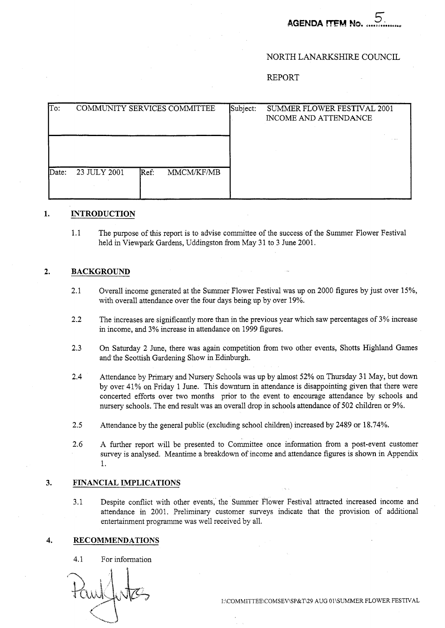# **AGENDA ITEM N**

#### NORTH LANARKSHIRE COUNCIL

REPORT

| To:   | COMMUNITY SERVICES COMMITTEE       | Subject: | SUMMER FLOWER FESTIVAL 2001<br>INCOME AND ATTENDANCE |
|-------|------------------------------------|----------|------------------------------------------------------|
| Date: | 23 JULY 2001<br>MMCM/KF/MB<br>Ref: |          |                                                      |

#### $1.$ **INTRODUCTION**

 $1.1$ The purpose of this report is to advise committee of the success of the Summer Flower Festival held in Viewpark Gardens, Uddingston from May 31 to 3 June 2001.

### **2. BACKGROUND**

- 2.1 Overall income generated at the Summer Flower Festival was up on 2000 figures by just over 15%, with overall attendance over the four days being up by over 19%.
- 2.2 The increases are significantly more than in the previous year which saw percentages of 3% increase in income, and 3% increase in attendance on 1999 figures.
- 2.3 On Saturday 2 June, there was again competition from two other events, Shotts Highland Games and the Scottish Gardening Show in Edinburgh.
- 2.4 Attendance by Primary and Nursery Schools was up by almost 52% on Thursday 31 May, but down by over 41% on Friday 1 June. This downturn in attendance is disappointing given that there were concerted efforts over two months prior to the event to encourage attendance by schools and nursery schools. The end result was an overall drop in schools attendance of 502 children or 9%.
- 2.5 Attendance by the general public (excluding school children) increased by 2489 or 18.74%.
- 2.6 A further report will be presented to Committee once information from a post-event customer survey is analysed. Meantime a breakdown of income and attendance figures is shown in Appendix 1.

#### **3. FINANCIAL IMPLICATIONS**

3.1 Despite conflict with other events, the Summer Flower Festival attracted increased income and attendance in 2001. Preliminary customer surveys indicate that the provision of additional entertainment programme was well received by all.

#### **4. RECOMMENDATIONS**